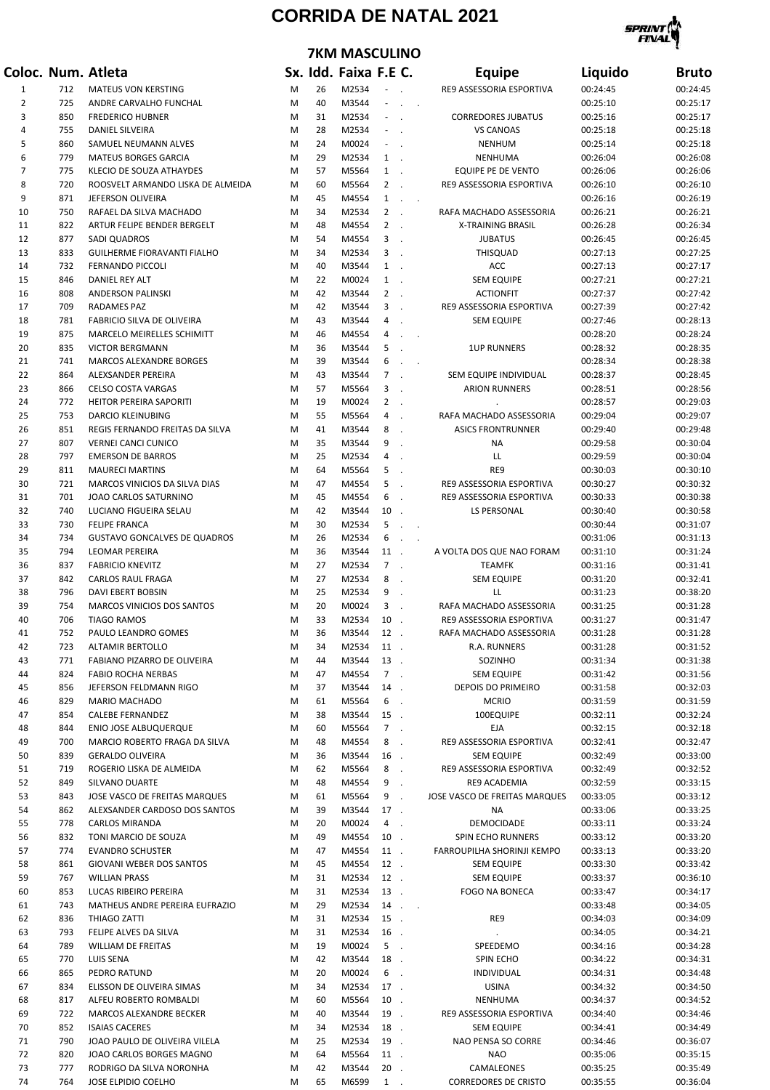## **CORRIDA DE NATAL 2021**

**7KM MASCULINO** 



## **Coloc. Num. Atleta Sx. Idd. Faixa F.E C. Equipe Liquido Bruto** 1 712 MATEUS VON KERSTING M 26 M2534 - . RE9 ASSESSORIA ESPORTIVA 00:24:45 00:24:45 2 725 ANDRE CARVALHO FUNCHAL M 40 M3544 - . . 00:25:10 00:25:17 3 850 FREDERICO HUBNER M 31 M2534 - . CORREDORES JUBATUS 00:25:16 00:25:17 4 755 DANIEL SILVEIRA M 28 M2534 - . VS CANOAS 00:25:18 00:25:18 5 860 SAMUEL NEUMANN ALVES M 24 M0024 - . NENHUM 00:25:14 00:25:18 6 779 MATEUS BORGES GARCIA M 29 M2534 1 . NENHUMA 00:26:04 00:26:08 7 775 KLECIO DE SOUZA ATHAYDES M 57 M5564 1 . EQUIPE PE DE VENTO 00:26:06 00:26:06 8 720 ROOSVELT ARMANDO LISKA DE ALMEIDA M 60 M5564 2 . RE9 ASSESSORIA ESPORTIVA 00:26:10 00:26:10 9 871 JEFERSON OLIVEIRA M 45 M4554 1 . . 00:26:16 00:26:19 10 750 RAFAEL DA SILVA MACHADO M 34 M2534 2 . RAFA MACHADO ASSESSORIA 00:26:21 00:26:21 11 822 ARTUR FELIPE BENDER BERGELT M 48 M4554 2 . X-TRAINING BRASIL 00:26:28 00:26:34 12 877 SADI QUADROS M 54 M4554 3 . JUBATUS 00:26:45 00:26:45 13 833 GUILHERME FIORAVANTI FIALHO M 34 M2534 3 . THISQUAD 00:27:13 00:27:25 14 732 FERNANDO PICCOLI M 40 M3544 1 . ACC 00:27:13 00:27:17 15 846 DANIEL REY ALT M 22 M0024 1 . SEM EQUIPE 00:27:21 00:27:21 16 808 ANDERSON PALINSKI M 42 M3544 2 . ACTIONFIT 00:27:37 00:27:42 17 709 RADAMES PAZ M 42 M3544 3 . RE9 ASSESSORIA ESPORTIVA 00:27:39 00:27:42 18 781 FABRICIO SILVA DE OLIVEIRA M 43 M3544 4 . SEM EQUIPE 00:27:46 00:28:13 19 875 MARCELO MEIRELLES SCHIMITT M 46 M4554 4 . . 00:28:20 00:28:24 20 835 VICTOR BERGMANN M 36 M3544 5 . 1UP RUNNERS 00:28:32 00:28:35 21 741 MARCOS ALEXANDRE BORGES M 39 M3544 6 . . 00:28:34 00:28:38 22 864 ALEXSANDER PEREIRA M 43 M3544 7 . SEM EQUIPE INDIVIDUAL 00:28:37 00:28:45 23 866 CELSO COSTA VARGAS M 57 M5564 3 . ARION RUNNERS 00:28:51 00:28:56 24 772 HEITOR PEREIRA SAPORITI M 19 M0024 2 . . 00:28:57 00:29:03 25 753 DARCIO KLEINUBING M 55 M5564 4 . RAFA MACHADO ASSESSORIA 00:29:04 00:29:07 26 851 REGIS FERNANDO FREITAS DA SILVA M 41 M3544 8 . ASICS FRONTRUNNER 00:29:40 00:29:48 27 807 VERNEI CANCI CUNICO M 35 M3544 9 . NA 00:29:58 00:30:04 28 797 EMERSON DE BARROS M 25 M2534 4 . LL 00:29:59 00:30:04 29 811 MAURECI MARTINS M 64 M5564 5 . RE9 00:30:03 00:30:10 30 721 MARCOS VINICIOS DA SILVA DIAS M 47 M4554 5 . RE9 ASSESSORIA ESPORTIVA 00:30:27 00:30:32 31 701 JOAO CARLOS SATURNINO M 45 M4554 6 . RE9 ASSESSORIA ESPORTIVA 00:30:33 00:30:38 32 740 LUCIANO FIGUEIRA SELAU M 42 M3544 10 . LS PERSONAL 00:30:40 00:30:58 33 730 FELIPE FRANCA M 30 M2534 5 . . 00:30:44 00:31:07 34 734 GUSTAVO GONCALVES DE QUADROS M 26 M2534 6 . . 00:31:06 00:31:13 35 794 LEOMAR PEREIRA M 36 M3544 11 . A VOLTA DOS QUE NAO FORAM 00:31:10 00:31:24 36 837 FABRICIO KNEVITZ M 27 M2534 7 . TEAMFK 00:31:16 00:31:41 37 842 CARLOS RAUL FRAGA M 27 M2534 8 . SEM EQUIPE 00:31:20 00:32:41 38 796 DAVI EBERT BOBSIN M 25 M2534 9 . LL 00:31:23 00:38:20 39 754 MARCOS VINICIOS DOS SANTOS M 20 M0024 3 . RAFA MACHADO ASSESSORIA 00:31:25 00:31:28 40 706 TIAGO RAMOS M 33 M2534 10 . RE9 ASSESSORIA ESPORTIVA 00:31:27 00:31:47 41 752 PAULO LEANDRO GOMES M 36 M3544 12 . RAFA MACHADO ASSESSORIA 00:31:28 00:31:28 42 723 ALTAMIR BERTOLLO M 34 M2534 11 . R.A. RUNNERS 00:31:28 00:31:52 43 771 FABIANO PIZARRO DE OLIVEIRA M 44 M3544 13 . SOZINHO 00:31:34 00:31:38 44 824 FABIO ROCHA NERBAS M 47 M4554 7 . SEM EQUIPE 00:31:42 00:31:56 45 856 JEFERSON FELDMANN RIGO M 37 M3544 14 . DEPOIS DO PRIMEIRO 00:31:58 00:32:03 46 829 MARIO MACHADO M 61 M5564 6 . MCRIO 00:31:59 00:31:59 47 854 CALEBE FERNANDEZ M 38 M3544 15 . 100EQUIPE 00:32:11 00:32:24 48 844 ENIO JOSE ALBUQUERQUE M 60 M5564 7 . EJA 00:32:15 00:32:18 49 700 MARCIO ROBERTO FRAGA DA SILVA M 48 M4554 8 . RE9 ASSESSORIA ESPORTIVA 00:32:41 00:32:47 50 839 GERALDO OLIVEIRA M 36 M3544 16 . SEM EQUIPE 00:32:49 00:33:00 51 719 ROGERIO LISKA DE ALMEIDA M 62 M5564 8 . RE9 ASSESSORIA ESPORTIVA 00:32:49 00:32:52 52 849 SILVANO DUARTE M 48 M4554 9 . RE9 ACADEMIA 00:32:59 00:33:15 53 843 JOSE VASCO DE FREITAS MARQUES M 61 M5564 9 . JOSE VASCO DE FREITAS MARQUES 00:33:05 00:33:12 54 862 ALEXSANDER CARDOSO DOS SANTOS M 39 M3544 17 . NA 00:33:06 00:33:25 55 778 CARLOS MIRANDA M 20 M0024 4 . DEMOCIDADE 00:33:11 00:33:24 56 832 TONI MARCIO DE SOUZA M 49 M4554 10 . SPIN ECHO RUNNERS 00:33:12 00:33:20 57 774 EVANDRO SCHUSTER M 47 M4554 11 . FARROUPILHA SHORINJI KEMPO 00:33:13 00:33:20 58 861 GIOVANI WEBER DOS SANTOS M 45 M4554 12 . SEM EQUIPE 00:33:30 00:33:42 59 767 WILLIAN PRASS M 31 M2534 12 . SEM EQUIPE 00:33:37 00:36:10 60 853 LUCAS RIBEIRO PEREIRA M 31 M2534 13 . FOGO NA BONECA 00:33:47 00:34:17 61 743 MATHEUS ANDRE PEREIRA EUFRAZIO M 29 M2534 14 . . 00:33:48 00:34:05 62 836 THIAGO ZATTI M 31 M2534 15 . RE9 00:34:03 00:34:09 63 793 FELIPE ALVES DA SILVA M 31 M2534 16 . . 00:34:05 00:34:21 64 789 WILLIAM DE FREITAS M 19 M0024 5 . SPEEDEMO 00:34:16 00:34:28 65 770 LUIS SENA M 42 M3544 18 . SPIN ECHO 00:34:22 00:34:31 66 865 PEDRO RATUND M 20 M0024 6 . INDIVIDUAL 00:34:31 00:34:48 67 834 ELISSON DE OLIVEIRA SIMAS M 34 M2534 17 . USINA 00:34:32 00:34:50 68 817 ALFEU ROBERTO ROMBALDI M 60 M5564 10 . NENHUMA 00:34:37 00:34:52 69 722 MARCOS ALEXANDRE BECKER M 40 M3544 19 . RE9 ASSESSORIA ESPORTIVA 00:34:40 00:34:46 70 852 ISAIAS CACERES M 34 M2534 18 . SEM EQUIPE 00:34:41 00:34:49 71 790 JOAO PAULO DE OLIVEIRA VILELA M 25 M2534 19 . NAO PENSA SO CORRE 00:34:46 00:36:07 72 820 JOAO CARLOS BORGES MAGNO M 64 M5564 11 . NAO 00:35:06 00:35:15 73 777 RODRIGO DA SILVA NORONHA M 42 M3544 20 . CAMALEONES 00:35:25 00:35:49 74 764 JOSE ELPIDIO COELHO M 65 M6599 1 . CORREDORES DE CRISTO 00:35:55 00:36:04